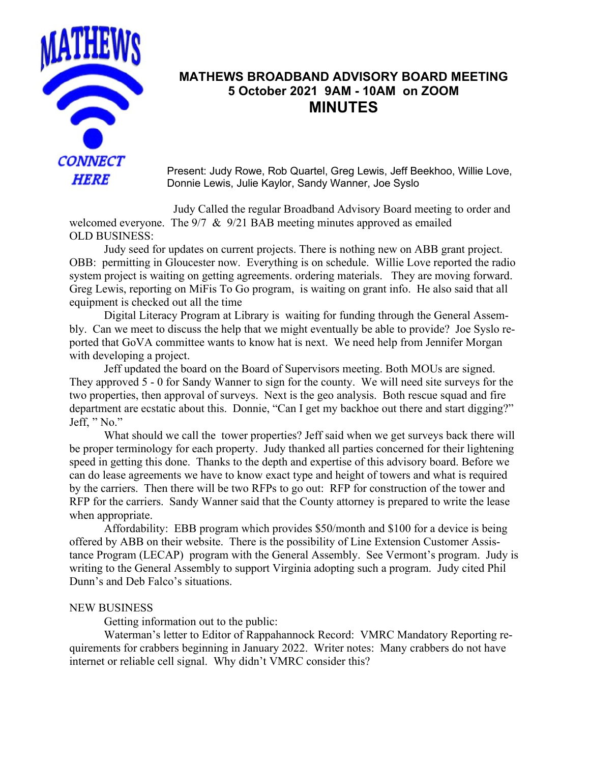

## **MATHEWS BROADBAND ADVISORY BOARD MEETING 5 October 2021 9AM - 10AM on ZOOM MINUTES**

Present: Judy Rowe, Rob Quartel, Greg Lewis, Jeff Beekhoo, Willie Love, Donnie Lewis, Julie Kaylor, Sandy Wanner, Joe Syslo

Judy Called the regular Broadband Advisory Board meeting to order and welcomed everyone. The 9/7 & 9/21 BAB meeting minutes approved as emailed OLD BUSINESS:

Judy seed for updates on current projects. There is nothing new on ABB grant project. OBB:permitting in Gloucester now. Everything is on schedule. Willie Love reported the radio system project is waiting on getting agreements. ordering materials. They are moving forward. Greg Lewis, reporting on MiFis To Go program, is waiting on grant info. He also said that all equipment is checked out all the time

Digital Literacy Program at Library is waiting for funding through the General Assembly. Can we meet to discuss the help that we might eventually be able to provide? Joe Syslo reported that GoVA committee wants to know hat is next. We need help from Jennifer Morgan with developing a project.

Jeff updated the board on the Board of Supervisors meeting. Both MOUs are signed. They approved 5 - 0 for Sandy Wanner to sign for the county. We will need site surveys for the two properties, then approval of surveys. Next is the geo analysis. Both rescue squad and fire department are ecstatic about this. Donnie, "Can I get my backhoe out there and start digging?" Jeff, "No."

What should we call the tower properties? Jeff said when we get surveys back there will be proper terminology for each property. Judy thanked all parties concerned for their lightening speed in getting this done. Thanks to the depth and expertise of this advisory board. Before we can do lease agreements we have to know exact type and height of towers and what is required by the carriers. Then there will be two RFPs to go out: RFP for construction of the tower and RFP for the carriers. Sandy Wanner said that the County attorney is prepared to write the lease when appropriate.

Affordability: EBB program which provides \$50/month and \$100 for a device is being offered by ABB on their website. There is the possibility of Line Extension Customer Assistance Program (LECAP) program with the General Assembly. See Vermont's program. Judy is writing to the General Assembly to support Virginia adopting such a program. Judy cited Phil Dunn's and Deb Falco's situations.

## NEW BUSINESS

Getting information out to the public:

Waterman's letter to Editor of Rappahannock Record: VMRC Mandatory Reporting requirements for crabbers beginning in January 2022. Writer notes: Many crabbers do not have internet or reliable cell signal. Why didn't VMRC consider this?